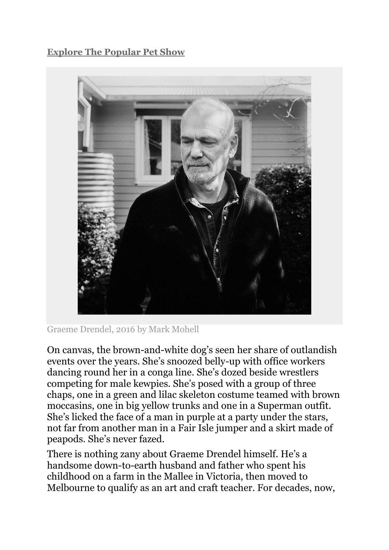## **[Explore The Popular Pet Show](https://www.portrait.gov.au/content/popular-pet-show)**



Graeme Drendel, 2016 by Mark Mohell

On canvas, the brown-and-white dog's seen her share of outlandish events over the years. She's snoozed belly-up with office workers dancing round her in a conga line. She's dozed beside wrestlers competing for male kewpies. She's posed with a group of three chaps, one in a green and lilac skeleton costume teamed with brown moccasins, one in big yellow trunks and one in a Superman outfit. She's licked the face of a man in purple at a party under the stars, not far from another man in a Fair Isle jumper and a skirt made of peapods. She's never fazed.

There is nothing zany about Graeme Drendel himself. He's a handsome down-to-earth husband and father who spent his childhood on a farm in the Mallee in Victoria, then moved to Melbourne to qualify as an art and craft teacher. For decades, now,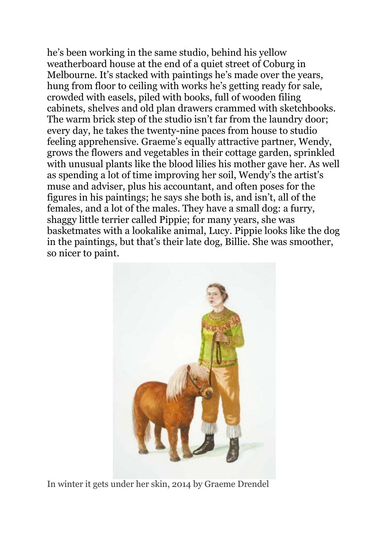he's been working in the same studio, behind his yellow weatherboard house at the end of a quiet street of Coburg in Melbourne. It's stacked with paintings he's made over the years, hung from floor to ceiling with works he's getting ready for sale, crowded with easels, piled with books, full of wooden filing cabinets, shelves and old plan drawers crammed with sketchbooks. The warm brick step of the studio isn't far from the laundry door; every day, he takes the twenty-nine paces from house to studio feeling apprehensive. Graeme's equally attractive partner, Wendy, grows the flowers and vegetables in their cottage garden, sprinkled with unusual plants like the blood lilies his mother gave her. As well as spending a lot of time improving her soil, Wendy's the artist's muse and adviser, plus his accountant, and often poses for the figures in his paintings; he says she both is, and isn't, all of the females, and a lot of the males. They have a small dog: a furry, shaggy little terrier called Pippie; for many years, she was basketmates with a lookalike animal, Lucy. Pippie looks like the dog in the paintings, but that's their late dog, Billie. She was smoother, so nicer to paint.



[In winter it gets under her skin, 2014 by Graeme Drendel](https://www.portrait.gov.au/image/73089/73997/)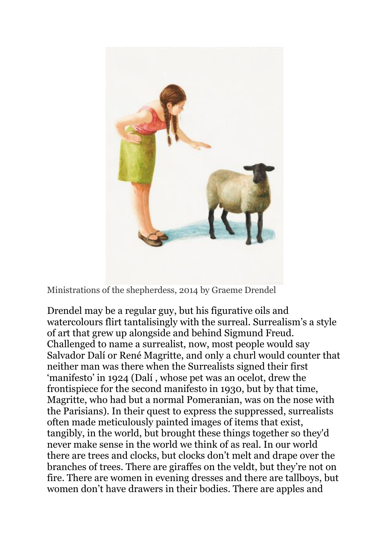

[Ministrations of the shepherdess, 2014 by Graeme Drendel](https://www.portrait.gov.au/image/74003/73997/)

Drendel may be a regular guy, but his figurative oils and watercolours flirt tantalisingly with the surreal. Surrealism's a style of art that grew up alongside and behind Sigmund Freud. Challenged to name a surrealist, now, most people would say Salvador Dalí or René Magritte, and only a churl would counter that neither man was there when the Surrealists signed their first 'manifesto' in 1924 (Dalí , whose pet was an ocelot, drew the frontispiece for the second manifesto in 1930, but by that time, Magritte, who had but a normal Pomeranian, was on the nose with the Parisians). In their quest to express the suppressed, surrealists often made meticulously painted images of items that exist, tangibly, in the world, but brought these things together so they'd never make sense in the world we think of as real. In our world there are trees and clocks, but clocks don't melt and drape over the branches of trees. There are giraffes on the veldt, but they're not on fire. There are women in evening dresses and there are tallboys, but women don't have drawers in their bodies. There are apples and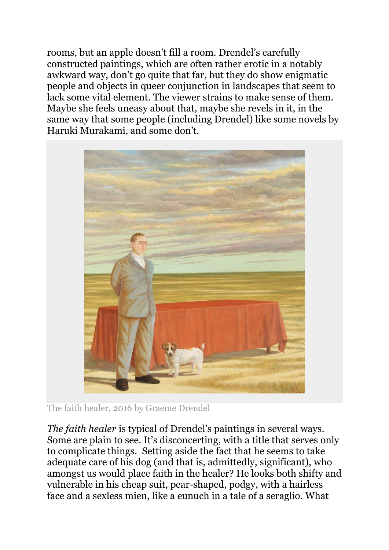rooms, but an apple doesn't fill a room. Drendel's carefully constructed paintings, which are often rather erotic in a notably awkward way, don't go quite that far, but they do show enigmatic people and objects in queer conjunction in landscapes that seem to lack some vital element. The viewer strains to make sense of them. Maybe she feels uneasy about that, maybe she revels in it, in the same way that some people (including Drendel) like some novels by Haruki Murakami, and some don't.



The faith healer, 2016 by Graeme Drendel

*The faith healer* is typical of Drendel's paintings in several ways. Some are plain to see. It's disconcerting, with a title that serves only to complicate things. Setting aside the fact that he seems to take adequate care of his dog (and that is, admittedly, significant), who amongst us would place faith in the healer? He looks both shifty and vulnerable in his cheap suit, pear-shaped, podgy, with a hairless face and a sexless mien, like a eunuch in a tale of a seraglio. What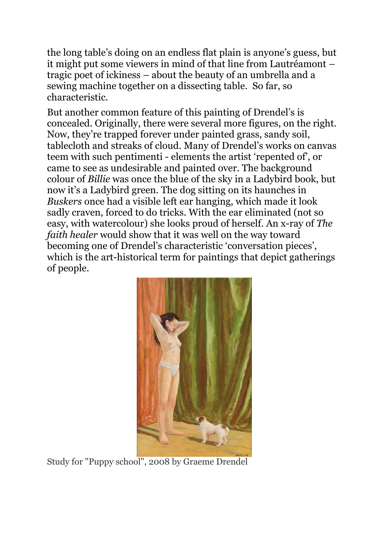the long table's doing on an endless flat plain is anyone's guess, but it might put some viewers in mind of that line from Lautréamont – tragic poet of ickiness – about the beauty of an umbrella and a sewing machine together on a dissecting table. So far, so characteristic.

But another common feature of this painting of Drendel's is concealed. Originally, there were several more figures, on the right. Now, they're trapped forever under painted grass, sandy soil, tablecloth and streaks of cloud. Many of Drendel's works on canvas teem with such pentimenti - elements the artist 'repented of', or came to see as undesirable and painted over. The background colour of *Billie* was once the blue of the sky in a Ladybird book, but now it's a Ladybird green. The dog sitting on its haunches in *Buskers* once had a visible left ear hanging, which made it look sadly craven, forced to do tricks. With the ear eliminated (not so easy, with watercolour) she looks proud of herself. An x-ray of *The faith healer* would show that it was well on the way toward becoming one of Drendel's characteristic 'conversation pieces', which is the art-historical term for paintings that depict gatherings of people.



[Study for "Puppy school", 2008 by Graeme Drendel](https://www.portrait.gov.au/image/74004/73997/)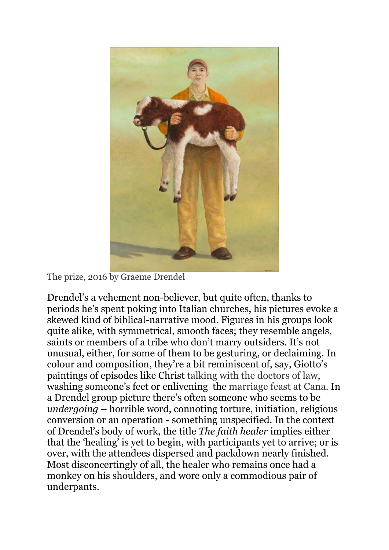

[The prize, 2016 by Graeme Drendel](https://www.portrait.gov.au/image/74008/73997/)

Drendel's a vehement non-believer, but quite often, thanks to periods he's spent poking into Italian churches, his pictures evoke a skewed kind of biblical-narrative mood. Figures in his groups look quite alike, with symmetrical, smooth faces; they resemble angels, saints or members of a tribe who don't marry outsiders. It's not unusual, either, for some of them to be gesturing, or declaiming. In colour and composition, they're a bit reminiscent of, say, Giotto's paintings of episodes like Christ [talking with the doctors of law,](https://commons.wikimedia.org/wiki/File:Giotto,_Lower_Church_Assisi,_Christ_Among_the_Doctors_01.jpg) washing someone's feet or enlivening the [marriage feast at Cana.](https://en.wikipedia.org/wiki/Marriage_at_Cana) In a Drendel group picture there's often someone who seems to be *undergoing* – horrible word, connoting torture, initiation, religious conversion or an operation - something unspecified. In the context of Drendel's body of work, the title *The faith healer* implies either that the 'healing' is yet to begin, with participants yet to arrive; or is over, with the attendees dispersed and packdown nearly finished. Most disconcertingly of all, the healer who remains once had a monkey on his shoulders, and wore only a commodious pair of underpants.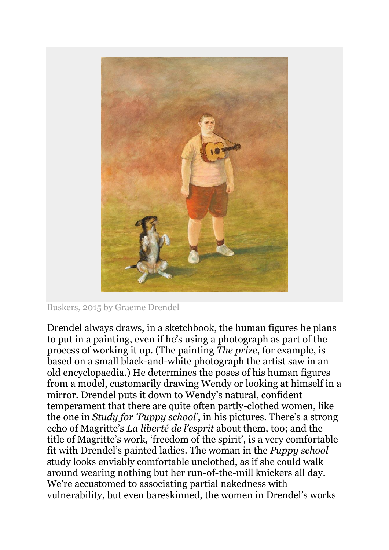

Buskers, 2015 by Graeme Drendel

Drendel always draws, in a sketchbook, the human figures he plans to put in a painting, even if he's using a photograph as part of the process of working it up. (The painting *The prize*, for example, is based on a small black-and-white photograph the artist saw in an old encyclopaedia.) He determines the poses of his human figures from a model, customarily drawing Wendy or looking at himself in a mirror. Drendel puts it down to Wendy's natural, confident temperament that there are quite often partly-clothed women, like the one in *Study for 'Puppy school'*, in his pictures. There's a strong echo of Magritte's *La liberté de l'esprit* about them, too; and the title of Magritte's work, 'freedom of the spirit', is a very comfortable fit with Drendel's painted ladies. The woman in the *Puppy school* study looks enviably comfortable unclothed, as if she could walk around wearing nothing but her run-of-the-mill knickers all day. We're accustomed to associating partial nakedness with vulnerability, but even bareskinned, the women in Drendel's works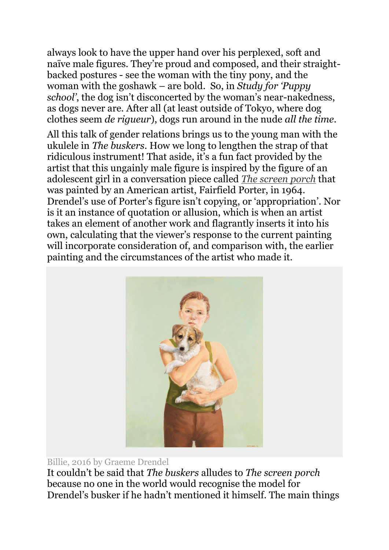always look to have the upper hand over his perplexed, soft and naïve male figures. They're proud and composed, and their straightbacked postures - see the woman with the tiny pony, and the woman with the goshawk – are bold. So, in *Study for 'Puppy school'*, the dog isn't disconcerted by the woman's near-nakedness, as dogs never are. After all (at least outside of Tokyo, where dog clothes seem *de rigueur*), dogs run around in the nude *all the time*.

All this talk of gender relations brings us to the young man with the ukulele in *The buskers*. How we long to lengthen the strap of that ridiculous instrument! That aside, it's a fun fact provided by the artist that this ungainly male figure is inspired by the figure of an adolescent girl in a conversation piece called *[The screen porch](http://whitney.org/Exhibitions/HumanInterest?&artwork_id=13040&filter_id=51)* that was painted by an American artist, Fairfield Porter, in 1964. Drendel's use of Porter's figure isn't copying, or 'appropriation'. Nor is it an instance of quotation or allusion, which is when an artist takes an element of another work and flagrantly inserts it into his own, calculating that the viewer's response to the current painting will incorporate consideration of, and comparison with, the earlier painting and the circumstances of the artist who made it.



## Billie, 2016 by Graeme Drendel

It couldn't be said that *The buskers* alludes to *The screen porch* because no one in the world would recognise the model for Drendel's busker if he hadn't mentioned it himself. The main things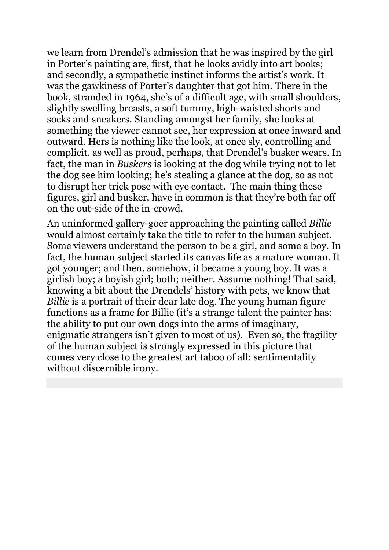we learn from Drendel's admission that he was inspired by the girl in Porter's painting are, first, that he looks avidly into art books; and secondly, a sympathetic instinct informs the artist's work. It was the gawkiness of Porter's daughter that got him. There in the book, stranded in 1964, she's of a difficult age, with small shoulders, slightly swelling breasts, a soft tummy, high-waisted shorts and socks and sneakers. Standing amongst her family, she looks at something the viewer cannot see, her expression at once inward and outward. Hers is nothing like the look, at once sly, controlling and complicit, as well as proud, perhaps, that Drendel's busker wears. In fact, the man in *Buskers* is looking at the dog while trying not to let the dog see him looking; he's stealing a glance at the dog, so as not to disrupt her trick pose with eye contact. The main thing these figures, girl and busker, have in common is that they're both far off on the out-side of the in-crowd.

An uninformed gallery-goer approaching the painting called *Billie* would almost certainly take the title to refer to the human subject. Some viewers understand the person to be a girl, and some a boy. In fact, the human subject started its canvas life as a mature woman. It got younger; and then, somehow, it became a young boy. It was a girlish boy; a boyish girl; both; neither. Assume nothing! That said, knowing a bit about the Drendels' history with pets, we know that *Billie* is a portrait of their dear late dog. The young human figure functions as a frame for Billie (it's a strange talent the painter has: the ability to put our own dogs into the arms of imaginary, enigmatic strangers isn't given to most of us). Even so, the fragility of the human subject is strongly expressed in this picture that comes very close to the greatest art taboo of all: sentimentality without discernible irony.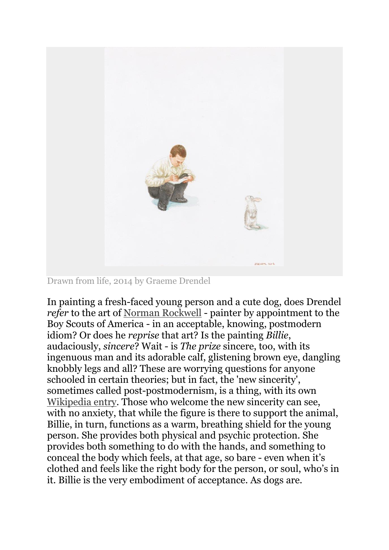

Drawn from life, 2014 by Graeme Drendel

In painting a fresh-faced young person and a cute dog, does Drendel *refer* to the art of [Norman Rockwell](https://en.wikipedia.org/wiki/Norman_Rockwell) - painter by appointment to the Boy Scouts of America - in an acceptable, knowing, postmodern idiom? Or does he *reprise* that art? Is the painting *Billie*, audaciously, *sincere*? Wait - is *The prize* sincere, too, with its ingenuous man and its adorable calf, glistening brown eye, dangling knobbly legs and all? These are worrying questions for anyone schooled in certain theories; but in fact, the 'new sincerity', sometimes called post-postmodernism, is a thing, with its own [Wikipedia entry.](https://en.wikipedia.org/wiki/New_Sincerity) Those who welcome the new sincerity can see, with no anxiety, that while the figure is there to support the animal, Billie, in turn, functions as a warm, breathing shield for the young person. She provides both physical and psychic protection. She provides both something to do with the hands, and something to conceal the body which feels, at that age, so bare - even when it's clothed and feels like the right body for the person, or soul, who's in it. Billie is the very embodiment of acceptance. As dogs are.